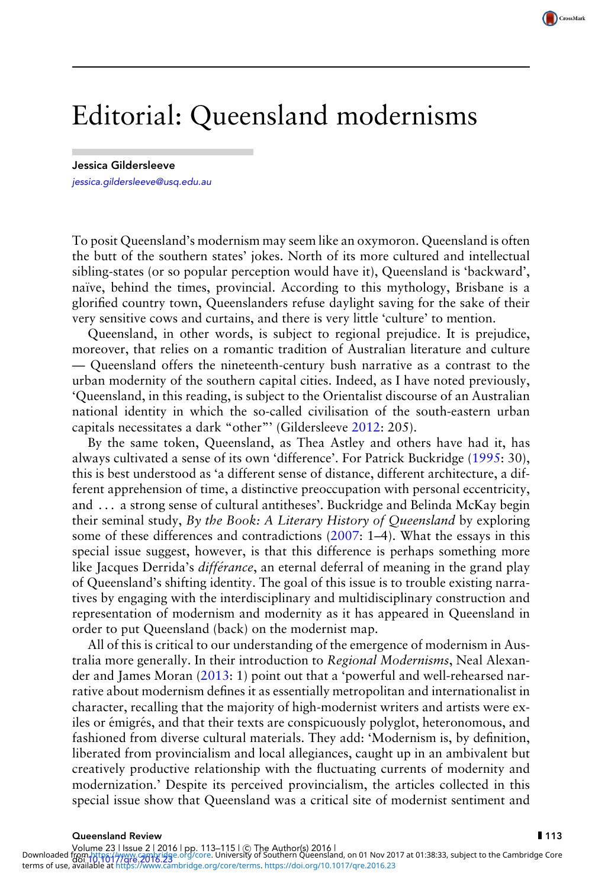## Editorial: Queensland modernisms

Jessica Gildersleeve [jessica.gildersleeve@usq.edu.au](mailto:jessica.gildersleeve@usq.edu.au)

To posit Queensland's modernism may seem like an oxymoron. Queensland is often the butt of the southern states' jokes. North of its more cultured and intellectual sibling-states (or so popular perception would have it), Queensland is 'backward', naïve, behind the times, provincial. According to this mythology, Brisbane is a glorified country town, Queenslanders refuse daylight saving for the sake of their very sensitive cows and curtains, and there is very little 'culture' to mention.

Queensland, in other words, is subject to regional prejudice. It is prejudice, moreover, that relies on a romantic tradition of Australian literature and culture — Queensland offers the nineteenth-century bush narrative as a contrast to the urban modernity of the southern capital cities. Indeed, as I have noted previously, 'Queensland, in this reading, is subject to the Orientalist discourse of an Australian national identity in which the so-called civilisation of the south-eastern urban capitals necessitates a dark "other"' (Gildersleeve [2012:](#page-2-0) 205).

By the same token, Queensland, as Thea Astley and others have had it, has always cultivated a sense of its own 'difference'. For Patrick Buckridge [\(1995:](#page-2-0) 30), this is best understood as 'a different sense of distance, different architecture, a different apprehension of time, a distinctive preoccupation with personal eccentricity, and . . . a strong sense of cultural antitheses'. Buckridge and Belinda McKay begin their seminal study, *By the Book: A Literary History of Queensland* by exploring some of these differences and contradictions [\(2007:](#page-2-0) 1–4). What the essays in this special issue suggest, however, is that this difference is perhaps something more like Jacques Derrida's *différance*, an eternal deferral of meaning in the grand play of Queensland's shifting identity. The goal of this issue is to trouble existing narratives by engaging with the interdisciplinary and multidisciplinary construction and representation of modernism and modernity as it has appeared in Queensland in order to put Queensland (back) on the modernist map.

All of this is critical to our understanding of the emergence of modernism in Australia more generally. In their introduction to *Regional Modernisms*, Neal Alexander and James Moran [\(2013:](#page-2-0) 1) point out that a 'powerful and well-rehearsed narrative about modernism defines it as essentially metropolitan and internationalist in character, recalling that the majority of high-modernist writers and artists were exiles or émigrés, and that their texts are conspicuously polyglot, heteronomous, and fashioned from diverse cultural materials. They add: 'Modernism is, by definition, liberated from provincialism and local allegiances, caught up in an ambivalent but creatively productive relationship with the fluctuating currents of modernity and modernization.' Despite its perceived provincialism, the articles collected in this special issue show that Queensland was a critical site of modernist sentiment and

CrossMark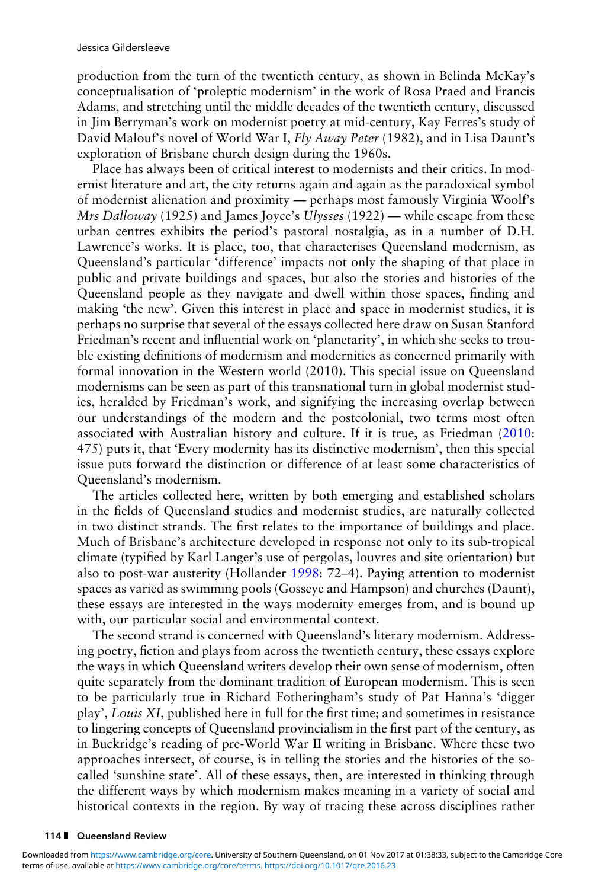production from the turn of the twentieth century, as shown in Belinda McKay's conceptualisation of 'proleptic modernism' in the work of Rosa Praed and Francis Adams, and stretching until the middle decades of the twentieth century, discussed in Jim Berryman's work on modernist poetry at mid-century, Kay Ferres's study of David Malouf's novel of World War I, *Fly Away Peter* (1982), and in Lisa Daunt's exploration of Brisbane church design during the 1960s.

Place has always been of critical interest to modernists and their critics. In modernist literature and art, the city returns again and again as the paradoxical symbol of modernist alienation and proximity — perhaps most famously Virginia Woolf's *Mrs Dalloway* (1925) and James Joyce's *Ulysses* (1922) — while escape from these urban centres exhibits the period's pastoral nostalgia, as in a number of D.H. Lawrence's works. It is place, too, that characterises Queensland modernism, as Queensland's particular 'difference' impacts not only the shaping of that place in public and private buildings and spaces, but also the stories and histories of the Queensland people as they navigate and dwell within those spaces, finding and making 'the new'. Given this interest in place and space in modernist studies, it is perhaps no surprise that several of the essays collected here draw on Susan Stanford Friedman's recent and influential work on 'planetarity', in which she seeks to trouble existing definitions of modernism and modernities as concerned primarily with formal innovation in the Western world (2010). This special issue on Queensland modernisms can be seen as part of this transnational turn in global modernist studies, heralded by Friedman's work, and signifying the increasing overlap between our understandings of the modern and the postcolonial, two terms most often associated with Australian history and culture. If it is true, as Friedman [\(2010:](#page-2-0) 475) puts it, that 'Every modernity has its distinctive modernism', then this special issue puts forward the distinction or difference of at least some characteristics of Queensland's modernism.

The articles collected here, written by both emerging and established scholars in the fields of Queensland studies and modernist studies, are naturally collected in two distinct strands. The first relates to the importance of buildings and place. Much of Brisbane's architecture developed in response not only to its sub-tropical climate (typified by Karl Langer's use of pergolas, louvres and site orientation) but also to post-war austerity (Hollander [1998:](#page-2-0) 72–4). Paying attention to modernist spaces as varied as swimming pools (Gosseye and Hampson) and churches (Daunt), these essays are interested in the ways modernity emerges from, and is bound up with, our particular social and environmental context.

The second strand is concerned with Queensland's literary modernism. Addressing poetry, fiction and plays from across the twentieth century, these essays explore the ways in which Queensland writers develop their own sense of modernism, often quite separately from the dominant tradition of European modernism. This is seen to be particularly true in Richard Fotheringham's study of Pat Hanna's 'digger play', *Louis XI*, published here in full for the first time; and sometimes in resistance to lingering concepts of Queensland provincialism in the first part of the century, as in Buckridge's reading of pre-World War II writing in Brisbane. Where these two approaches intersect, of course, is in telling the stories and the histories of the socalled 'sunshine state'. All of these essays, then, are interested in thinking through the different ways by which modernism makes meaning in a variety of social and historical contexts in the region. By way of tracing these across disciplines rather

## 114 Queensland Review